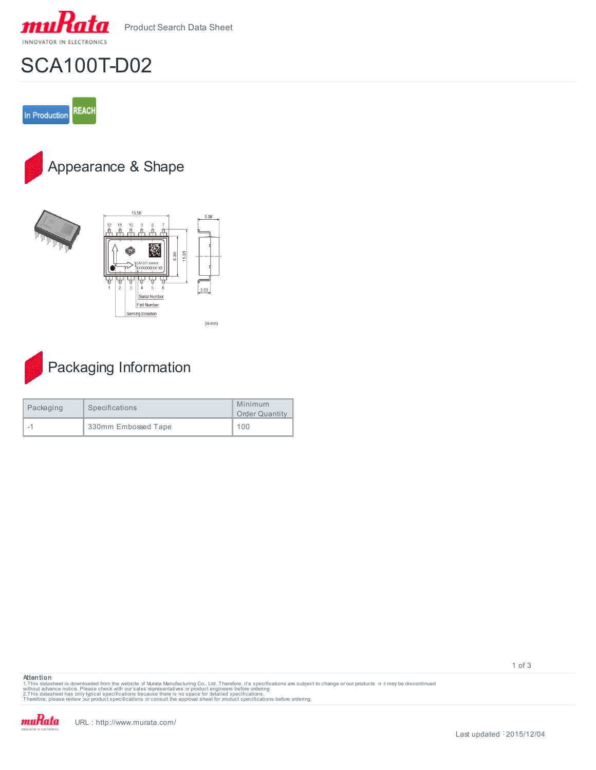

## SCA100T-D02











| Packaging | Specifications      | Minimum<br><b>Order Quantity</b> |
|-----------|---------------------|----------------------------------|
|           | 330mm Embossed Tape | 100                              |

**Attention**

1.This datasheet is downloaded from the website of Murata Manufacturing Co., Ltd. Therefore, it's specifications are subject to change or our products in it may be discontinued<br>without advaneet has only typical specificati



1 of 3